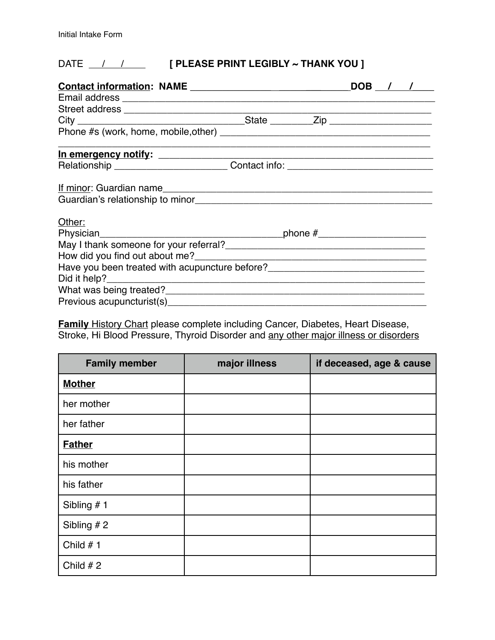# DATE <u>/ / **|**</u> **[ PLEASE PRINT LEGIBLY ~ THANK YOU ]**

|                                                                                  |  |  | DOB / / |
|----------------------------------------------------------------------------------|--|--|---------|
|                                                                                  |  |  |         |
|                                                                                  |  |  |         |
|                                                                                  |  |  |         |
|                                                                                  |  |  |         |
| Relationship ______________________________Contact info: _______________________ |  |  |         |
| If minor: Guardian name                                                          |  |  |         |
|                                                                                  |  |  |         |
| Other:                                                                           |  |  |         |
|                                                                                  |  |  |         |
|                                                                                  |  |  |         |
|                                                                                  |  |  |         |
|                                                                                  |  |  |         |
|                                                                                  |  |  |         |
|                                                                                  |  |  |         |
|                                                                                  |  |  |         |

**Family** History Chart please complete including Cancer, Diabetes, Heart Disease, Stroke, Hi Blood Pressure, Thyroid Disorder and any other major illness or disorders

| <b>Family member</b> | major illness | if deceased, age & cause |
|----------------------|---------------|--------------------------|
| <b>Mother</b>        |               |                          |
| her mother           |               |                          |
| her father           |               |                          |
| <b>Father</b>        |               |                          |
| his mother           |               |                          |
| his father           |               |                          |
| Sibling $# 1$        |               |                          |
| Sibling $# 2$        |               |                          |
| Child $# 1$          |               |                          |
| Child $# 2$          |               |                          |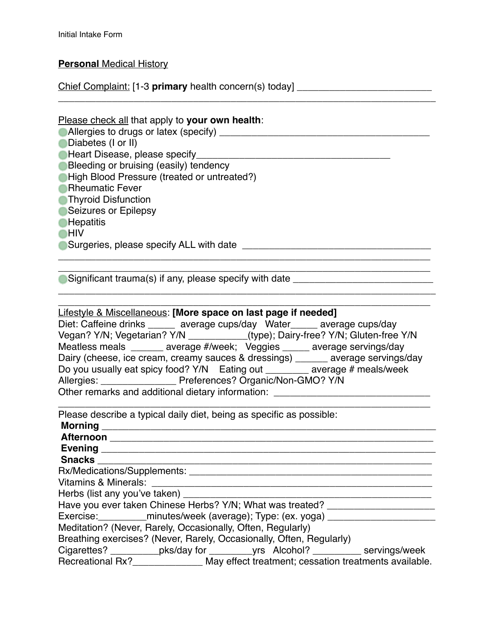## **Personal** Medical History

Chief Complaint: [1-3 **primary** health concern(s) today] \_\_\_\_\_\_\_\_\_\_\_\_\_\_\_\_\_\_\_\_\_\_\_\_\_

| Please check all that apply to your own health:<br><b>ODiabetes (I or II)</b><br>Bleeding or bruising (easily) tendency<br>High Blood Pressure (treated or untreated?)<br><b>Rheumatic Fever</b><br><b>Thyroid Disfunction</b><br>Seizures or Epilepsy<br><b>Hepatitis</b><br>∎HIV                                                                                                                                                                                                                                                                                                                                                    |
|---------------------------------------------------------------------------------------------------------------------------------------------------------------------------------------------------------------------------------------------------------------------------------------------------------------------------------------------------------------------------------------------------------------------------------------------------------------------------------------------------------------------------------------------------------------------------------------------------------------------------------------|
| Significant trauma(s) if any, please specify with date _________________________                                                                                                                                                                                                                                                                                                                                                                                                                                                                                                                                                      |
| Lifestyle & Miscellaneous: [More space on last page if needed]<br>Diet: Caffeine drinks ______ average cups/day Water_____ average cups/day<br>Vegan? Y/N; Vegetarian? Y/N ___________(type); Dairy-free? Y/N; Gluten-free Y/N<br>Meatless meals ______ average #/week; Veggies ____ average servings/day<br>Dairy (cheese, ice cream, creamy sauces & dressings) ______ average servings/day<br>Do you usually eat spicy food? Y/N Eating out ________ average # meals/week<br>Allergies: ____________________ Preferences? Organic/Non-GMO? Y/N<br>Other remarks and additional dietary information: ______________________________ |
| Please describe a typical daily diet, being as specific as possible:                                                                                                                                                                                                                                                                                                                                                                                                                                                                                                                                                                  |
|                                                                                                                                                                                                                                                                                                                                                                                                                                                                                                                                                                                                                                       |
| Herbs (list any you've taken) _____<br>Have you ever taken Chinese Herbs? Y/N; What was treated? ______________________<br>Exercise: ___________minutes/week (average); Type: (ex. yoga) __________________                                                                                                                                                                                                                                                                                                                                                                                                                           |
| Meditation? (Never, Rarely, Occasionally, Often, Regularly)<br>Breathing exercises? (Never, Rarely, Occasionally, Often, Regularly)<br>Cigarettes? ___________pks/day for _________yrs Alcohol? __________ servings/week<br>Recreational Rx?_______________ May effect treatment; cessation treatments available.                                                                                                                                                                                                                                                                                                                     |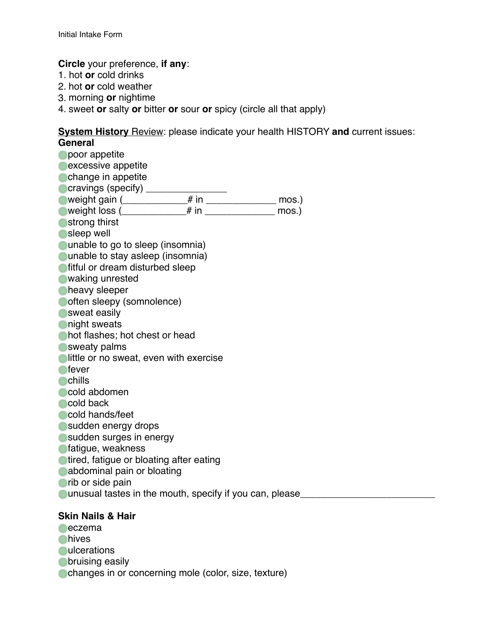**Circle** your preference, **if any**:

- 1. hot **or** cold drinks
- 2. hot **or** cold weather
- 3. morning **or** nightime
- 4. sweet **or** salty **or** bitter **or** sour **or** spicy (circle all that apply)

#### **System History** Review: please indicate your health HISTORY **and** current issues: **General**

**Opoor appetite excessive appetite Change in appetite** cravings (specify) \_\_\_\_\_\_\_\_\_\_\_\_\_\_\_\_ weight gain (\_\_\_\_\_\_\_\_\_\_\_\_# in \_\_\_\_\_\_\_\_\_\_\_\_\_ mos.) weight loss  $\uparrow$  # in  $\uparrow$  mos.) **Strong thirst** sleep well **Quidencial contract on the system** (insomnia) **Ounable to stay asleep (insomnia) fitful or dream disturbed sleep** waking unrested **heavy** sleeper often sleepy (somnolence) **Sweat easily night** sweats hot flashes; hot chest or head **Sweaty palms Ilittle or no sweat, even with exercise o**fever **C**chills cold abdomen cold back cold hands/feet sudden energy drops sudden surges in energy **fatigue, weakness n**tired, fatique or bloating after eating **abdominal pain or bloating or** rib or side pain unusual tastes in the mouth, specify if you can, please **Skin Nails & Hair eczema nives** 

- **Quicerations**
- **obruising easily**
- changes in or concerning mole (color, size, texture)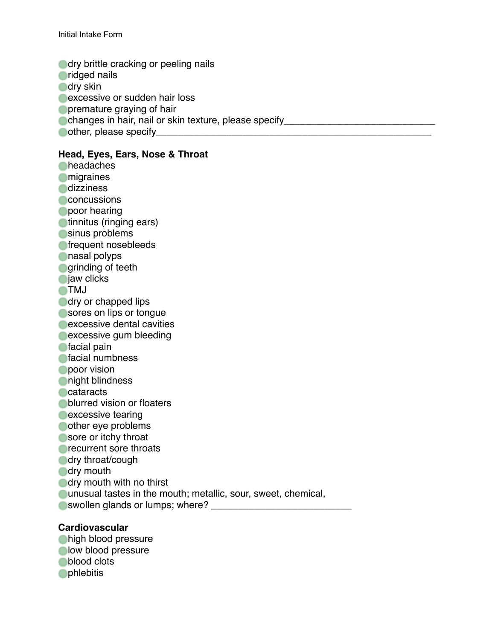**dry brittle cracking or peeling nails oridged nails odry skin excessive or sudden hair loss Opremature graying of hair** changes in hair, nail or skin texture, please specify  $\bullet$  other, please specify

### **Head, Eyes, Ears, Nose & Throat**

**Cheadaches Omigraines Odizziness Concussions poor** hearing **C**tinnitus (ringing ears) sinus problems **frequent nosebleeds** nasal polyps **grinding of teeth C**jaw clicks **OTMJ dry or chapped lips** sores on lips or tonque **excessive dental cavities excessive gum bleeding facial pain n**facial numbness **poor vision night blindness Cataracts blurred vision or floaters excessive tearing** other eye problems sore or itchy throat **C**recurrent sore throats **dry throat/cough dry** mouth **dry mouth with no thirst** unusual tastes in the mouth; metallic, sour, sweet, chemical, swollen glands or lumps; where? \_\_\_\_\_\_\_\_\_\_\_\_\_\_\_\_\_\_\_\_\_\_\_\_\_\_

#### **Cardiovascular**

**high blood pressure Olow blood pressure blood** clots **Ophlebitis**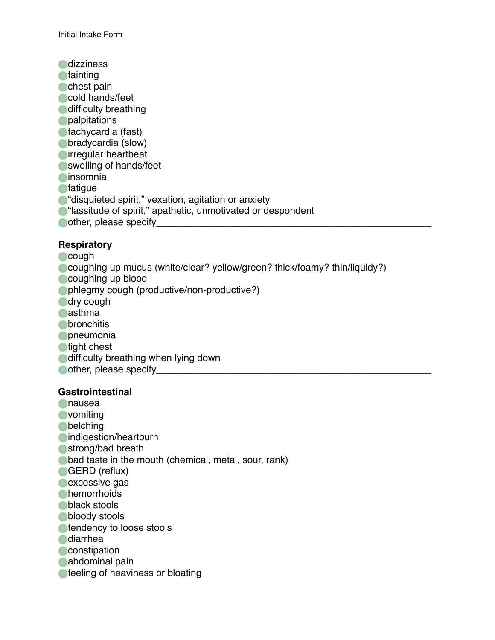**C**dizziness **C**fainting **C** chest pain cold hands/feet **difficulty breathing Opalpitations** tachycardia (fast) **Obradycardia (slow) Oirregular heartbeat Swelling of hands/feet C**insomnia **o**fatique **C** "disquieted spirit," vexation, agitation or anxiety **C** "lassitude of spirit," apathetic, unmotivated or despondent other, please specify\_\_\_\_\_\_\_\_\_\_\_\_\_\_\_\_\_\_\_\_\_\_\_\_\_\_\_\_\_\_\_\_\_\_\_\_\_\_\_\_\_\_\_\_\_\_\_\_\_\_\_

### **Respiratory**

- **Cough**
- coughing up mucus (white/clear? yellow/green? thick/foamy? thin/liquidy?)
- **Coughing up blood**
- phlegmy cough (productive/non-productive?)
- dry cough
- **Casthma**
- **O**bronchitis
- **Opneumonia**
- **tight chest**
- **difficulty breathing when lying down**
- $\bullet$  other, please specify  $\bullet$

#### **Gastrointestinal**

nausea **O**vomiting **obelching nindigestion/heartburn Strong/bad breath bad taste in the mouth (chemical, metal, sour, rank)** GERD (reflux) **excessive gas Chemorrhoids black stools bloody** stools **tendency to loose stools diarrhea Constipation** abdominal pain **feeling of heaviness or bloating**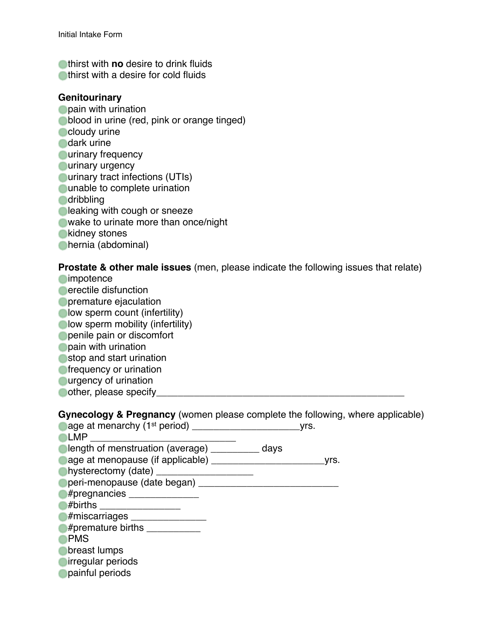**n**thirst with **no** desire to drink fluids **Inductry** thirst with a desire for cold fluids

#### **Genitourinary**

- **Opain with urination blood in urine (red, pink or orange tinged) Cloudy** urine dark urine **Curinary frequency Curinary urgency Ourinary tract infections (UTIs) Quide to complete urination dribbling Cleaking with cough or sneeze** wake to urinate more than once/night **Kidney stones**
- hernia (abdominal)

**Prostate & other male issues** (men, please indicate the following issues that relate)

**C**impotence **C**erectile disfunction **Opremature ejaculation Olow sperm count (infertility) Olow sperm mobility (infertility) penile pain or discomfort Opain with urination** stop and start urination **frequency or urination Ourgency of urination**  $\Box$  other, please specify

**Gynecology & Pregnancy** (women please complete the following, where applicable)

| age at menarchy $(1st$ period) ____      |      | yrs. |
|------------------------------------------|------|------|
| LMP                                      |      |      |
| length of menstruation (average) _______ | days |      |
| age at menopause (if applicable) _____   |      | Vrs. |
| hysterectomy (date) _                    |      |      |
| peri-menopause (date began) _            |      |      |
| #pregnancies ______________              |      |      |
| #births                                  |      |      |
| #miscarriages _____                      |      |      |
| #premature births                        |      |      |
| <b>PMS</b>                               |      |      |
| breast lumps                             |      |      |
| irregular periods                        |      |      |
| painful periods                          |      |      |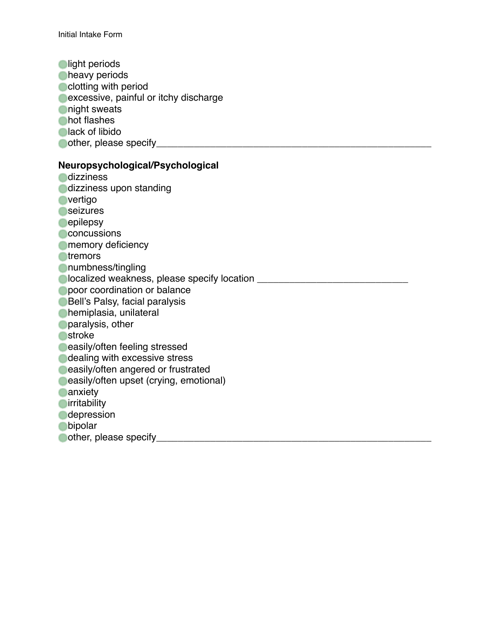**olight periods Cheavy periods** clotting with period **excessive, painful or itchy discharge night** sweats **Chot flashes Clack of libido** other, please specify\_\_\_\_\_\_\_\_\_\_\_\_\_\_\_\_\_\_\_\_\_\_\_\_\_\_\_\_\_\_\_\_\_\_\_\_\_\_\_\_\_\_\_\_\_\_\_\_\_\_\_

## **Neuropsychological/Psychological**

**Odizziness dizziness upon standing Overtigo Seizures C**epilepsy **Concussions Omemory deficiency otremors** numbness/tingling localized weakness, please specify location \_\_\_\_\_\_\_\_\_\_\_\_\_\_\_\_\_\_\_\_\_\_\_\_\_\_\_\_ **poor coordination or balance** Bell's Palsy, facial paralysis hemiplasia, unilateral **paralysis, other o**stroke **easily/often feeling stressed** dealing with excessive stress **easily/often angered or frustrated easily/often upset (crying, emotional) Canxiety O**irritability **C**depression **o**bipolar other, please specify\_\_\_\_\_\_\_\_\_\_\_\_\_\_\_\_\_\_\_\_\_\_\_\_\_\_\_\_\_\_\_\_\_\_\_\_\_\_\_\_\_\_\_\_\_\_\_\_\_\_\_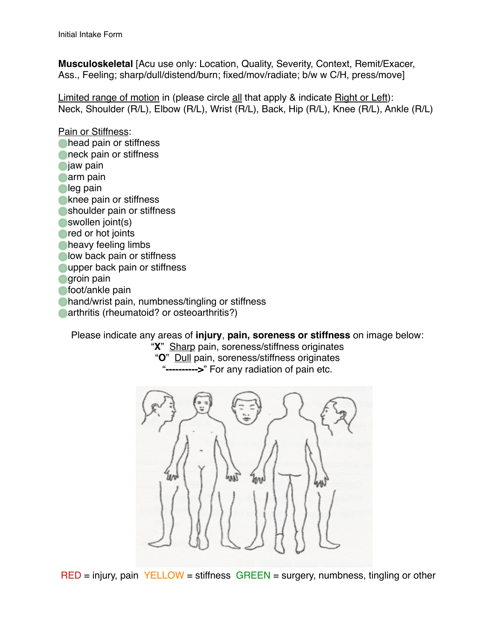**Musculoskeletal** [Acu use only: Location, Quality, Severity, Context, Remit/Exacer, Ass., Feeling; sharp/dull/distend/burn; fixed/mov/radiate; b/w w C/H, press/move]

Limited range of motion in (please circle all that apply & indicate Right or Left): Neck, Shoulder (R/L), Elbow (R/L), Wrist (R/L), Back, Hip (R/L), Knee (R/L), Ankle (R/L)

Pain or Stiffness: **Chead pain or stiffness neck pain or stiffness**  $\bigcirc$ jaw pain **Carm** pain **leg pain Knee pain or stiffness Shoulder pain or stiffness** swollen joint(s) **red or hot joints Cheavy feeling limbs low back pain or stiffness Oupper back pain or stiffness groin pain** foot/ankle pain hand/wrist pain, numbness/tingling or stiffness **Carthritis (rheumatoid? or osteoarthritis?)** 

Please indicate any areas of **injury**, **pain, soreness or stiffness** on image below:

"**X**" Sharp pain, soreness/stiffness originates "**O**" Dull pain, soreness/stiffness originates -->" For any radiation of pain etc.



RED = injury, pain YELLOW = stiffness GREEN = surgery, numbness, tingling or other